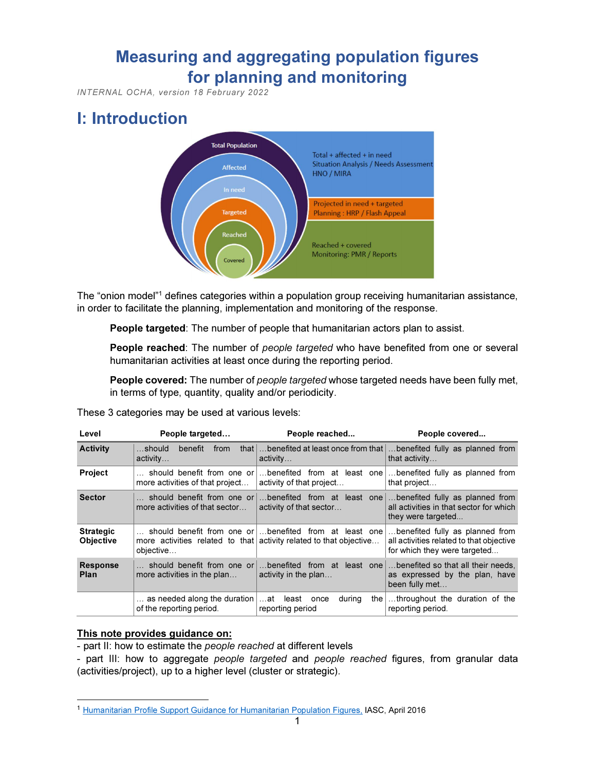# Measuring and aggregating population figures for planning and monitoring

INTERNAL OCHA, version 18 February 2022

# I: Introduction



The "onion model"<sup>1</sup> defines categories within a population group receiving humanitarian assistance, in order to facilitate the planning, implementation and monitoring of the response.

People targeted: The number of people that humanitarian actors plan to assist.

People reached: The number of people targeted who have benefited from one or several humanitarian activities at least once during the reporting period.

People covered: The number of people targeted whose targeted needs have been fully met, in terms of type, quantity, quality and/or periodicity.

| nese 3 categories may be used at various levels: |                                                                  |                                                                                                                               |                                                                                                             |  |
|--------------------------------------------------|------------------------------------------------------------------|-------------------------------------------------------------------------------------------------------------------------------|-------------------------------------------------------------------------------------------------------------|--|
| Level                                            | People targeted                                                  | People reached                                                                                                                | People covered                                                                                              |  |
| Activity                                         | that $\vert$<br>$$ should<br>benefit<br>from<br>$\alpha$ ctivity | benefited at least once from that<br>activity                                                                                 | benefited fully as planned from<br>that activity                                                            |  |
| Project                                          | should benefit from one or<br>more activities of that project    | benefited from at least one<br>activity of that project                                                                       | benefited fully as planned from<br>that project                                                             |  |
| Sector                                           | should benefit from one or<br>more activities of that sector     | benefited from at least one<br>activity of that sector                                                                        | benefited fully as planned from<br>all activities in that sector for which<br>they were targeted            |  |
| Strategic<br>Objective                           | objective                                                        | should benefit from one or  benefited from at least one<br>more activities related to that activity related to that objective | benefited fully as planned from<br>all activities related to that objective<br>for which they were targeted |  |
| <b>Response</b><br>Plan                          | should benefit from one or<br>more activities in the plan        | benefited from at least one<br>activity in the plan                                                                           | benefited so that all their needs.<br>as expressed by the plan, have<br>been fully met                      |  |
|                                                  | as needed along the duration<br>of the reporting period.         | at least<br>during<br>once<br>reporting period                                                                                | the throughout the duration of the<br>reporting period.                                                     |  |

These 3 categories may be used at various levels:

# This note provides guidance on:

- part II: how to estimate the people reached at different levels

- part III: how to aggregate people targeted and people reached figures, from granular data (activities/project), up to a higher level (cluster or strategic).

<sup>1</sup> Humanitarian Profile Support Guidance for Humanitarian Population Figures, IASC, April 2016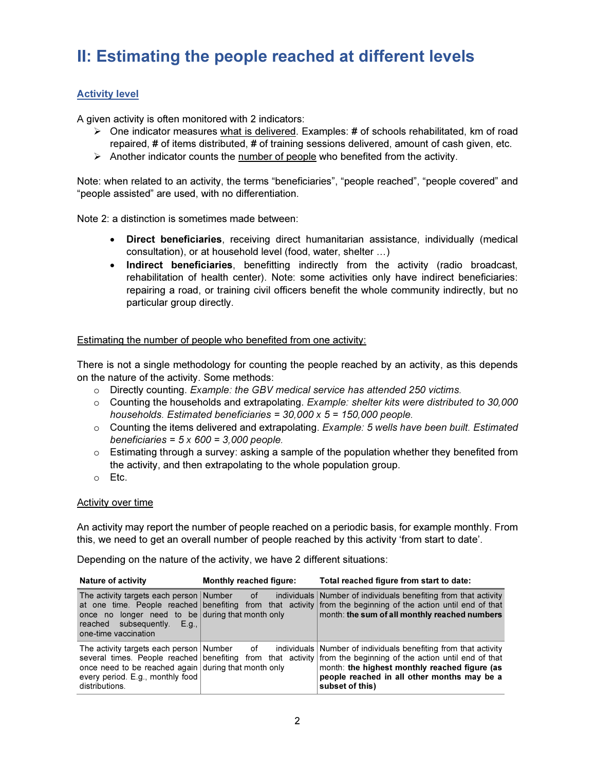# II: Estimating the people reached at different levels

# Activity level

A given activity is often monitored with 2 indicators:

- $\triangleright$  One indicator measures what is delivered. Examples: # of schools rehabilitated, km of road repaired, # of items distributed, # of training sessions delivered, amount of cash given, etc.
- $\triangleright$  Another indicator counts the number of people who benefited from the activity.

Note: when related to an activity, the terms "beneficiaries", "people reached", "people covered" and "people assisted" are used, with no differentiation.

Note 2: a distinction is sometimes made between:

- Direct beneficiaries, receiving direct humanitarian assistance, individually (medical consultation), or at household level (food, water, shelter …)
- Indirect beneficiaries, benefitting indirectly from the activity (radio broadcast, rehabilitation of health center). Note: some activities only have indirect beneficiaries: repairing a road, or training civil officers benefit the whole community indirectly, but no particular group directly.

## Estimating the number of people who benefited from one activity:

There is not a single methodology for counting the people reached by an activity, as this depends on the nature of the activity. Some methods:

- $\circ$  Directly counting. Example: the GBV medical service has attended 250 victims.
- $\circ$  Counting the households and extrapolating. Example: shelter kits were distributed to 30,000 households. Estimated beneficiaries =  $30,000 \times 5 = 150,000$  people.
- $\circ$  Counting the items delivered and extrapolating. Example: 5 wells have been built. Estimated beneficiaries =  $5 \times 600 = 3,000$  people.
- $\circ$  Estimating through a survey: asking a sample of the population whether they benefited from the activity, and then extrapolating to the whole population group.
- o Etc.

#### Activity over time

An activity may report the number of people reached on a periodic basis, for example monthly. From this, we need to get an overall number of people reached by this activity 'from start to date'.

Depending on the nature of the activity, we have 2 different situations:

| <b>Nature of activity</b>                                                                                                                                  | <b>Monthly reached figure:</b> | Total reached figure from start to date:                                                                                                                                                                                                                                                                                                        |
|------------------------------------------------------------------------------------------------------------------------------------------------------------|--------------------------------|-------------------------------------------------------------------------------------------------------------------------------------------------------------------------------------------------------------------------------------------------------------------------------------------------------------------------------------------------|
| The activity targets each person Number of<br>once no longer need to be during that month only<br>reached subsequently.<br>- E.q.,<br>one-time vaccination |                                | individuals Number of individuals benefiting from that activity<br>at one time. People reached benefiting from that activity from the beginning of the action until end of that<br>month: the sum of all monthly reached numbers                                                                                                                |
| once need to be reached again during that month only<br>every period. E.g., monthly food<br>distributions.                                                 |                                | The activity targets each person Number of individuals Number of individuals benefiting from that activity<br>several times. People reached benefiting from that activity from the beginning of the action until end of that<br>month: the highest monthly reached figure (as<br>people reached in all other months may be a<br>subset of this) |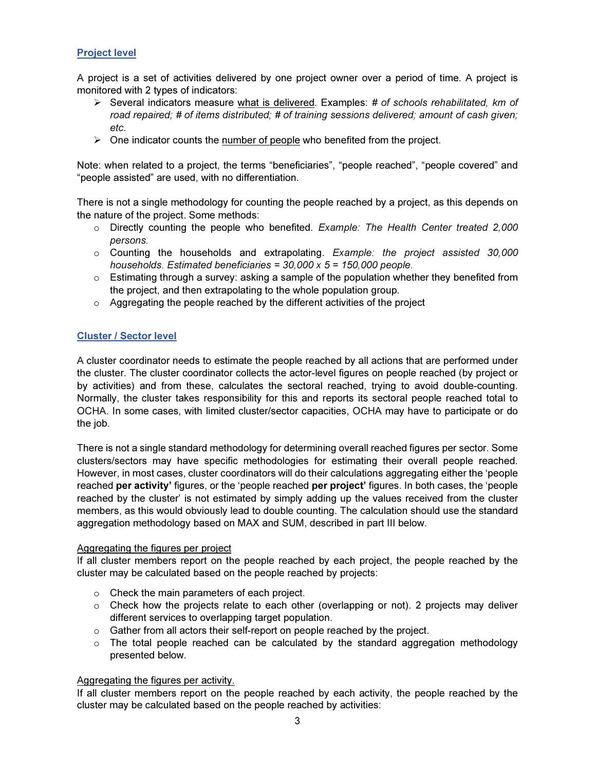# Project level

A project is a set of activities delivered by one project owner over a period of time. A project is monitored with 2 types of indicators:

- $\triangleright$  Several indicators measure what is delivered. Examples: # of schools rehabilitated, km of road repaired; # of items distributed; # of training sessions delivered; amount of cash given; etc.
- $\triangleright$  One indicator counts the number of people who benefited from the project.

Note: when related to a project, the terms "beneficiaries", "people reached", "people covered" and "people assisted" are used, with no differentiation.

There is not a single methodology for counting the people reached by a project, as this depends on the nature of the project. Some methods:

- $\circ$  Directly counting the people who benefited. Example: The Health Center treated 2,000 persons.
- $\circ$  Counting the households and extrapolating. Example: the project assisted 30,000 households. Estimated beneficiaries =  $30,000 \times 5 = 150,000$  people.
- $\circ$  Estimating through a survey: asking a sample of the population whether they benefited from the project, and then extrapolating to the whole population group.
- o Aggregating the people reached by the different activities of the project

## Cluster / Sector level

A cluster coordinator needs to estimate the people reached by all actions that are performed under the cluster. The cluster coordinator collects the actor-level figures on people reached (by project or by activities) and from these, calculates the sectoral reached, trying to avoid double-counting. Normally, the cluster takes responsibility for this and reports its sectoral people reached total to OCHA. In some cases, with limited cluster/sector capacities, OCHA may have to participate or do the job.

There is not a single standard methodology for determining overall reached figures per sector. Some clusters/sectors may have specific methodologies for estimating their overall people reached. However, in most cases, cluster coordinators will do their calculations aggregating either the 'people reached per activity' figures, or the 'people reached per project' figures. In both cases, the 'people reached by the cluster' is not estimated by simply adding up the values received from the cluster members, as this would obviously lead to double counting. The calculation should use the standard aggregation methodology based on MAX and SUM, described in part III below.

#### Aggregating the figures per project

If all cluster members report on the people reached by each project, the people reached by the cluster may be calculated based on the people reached by projects:

- o Check the main parameters of each project.
- $\circ$  Check how the projects relate to each other (overlapping or not). 2 projects may deliver different services to overlapping target population.
- o Gather from all actors their self-report on people reached by the project.
- $\circ$  The total people reached can be calculated by the standard aggregation methodology presented below.

#### Aggregating the figures per activity.

If all cluster members report on the people reached by each activity, the people reached by the cluster may be calculated based on the people reached by activities: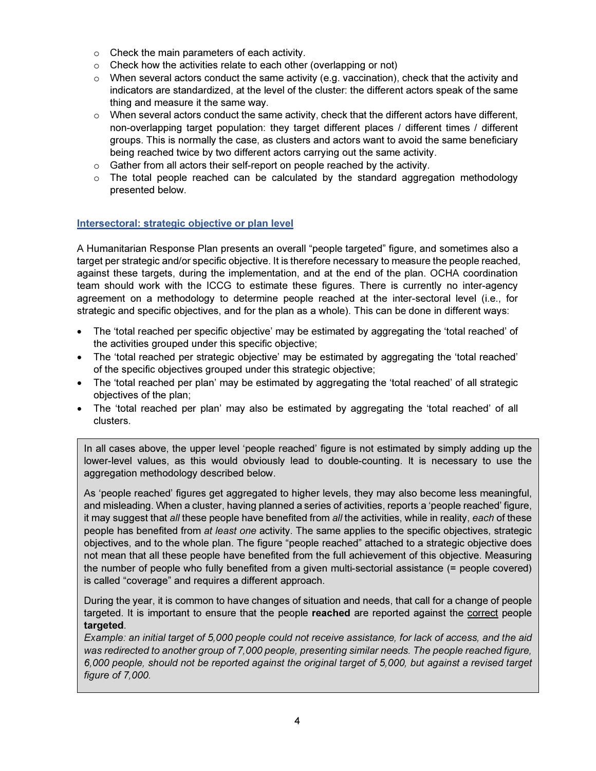- o Check the main parameters of each activity.
- $\circ$  Check how the activities relate to each other (overlapping or not)
- $\circ$  When several actors conduct the same activity (e.g. vaccination), check that the activity and indicators are standardized, at the level of the cluster: the different actors speak of the same thing and measure it the same way.
- $\circ$  When several actors conduct the same activity, check that the different actors have different, non-overlapping target population: they target different places / different times / different groups. This is normally the case, as clusters and actors want to avoid the same beneficiary being reached twice by two different actors carrying out the same activity.
- o Gather from all actors their self-report on people reached by the activity.
- $\circ$  The total people reached can be calculated by the standard aggregation methodology presented below.

# Intersectoral: strategic objective or plan level

A Humanitarian Response Plan presents an overall "people targeted" figure, and sometimes also a target per strategic and/or specific objective. It is therefore necessary to measure the people reached, against these targets, during the implementation, and at the end of the plan. OCHA coordination team should work with the ICCG to estimate these figures. There is currently no inter-agency agreement on a methodology to determine people reached at the inter-sectoral level (i.e., for strategic and specific objectives, and for the plan as a whole). This can be done in different ways:

- The 'total reached per specific objective' may be estimated by aggregating the 'total reached' of the activities grouped under this specific objective;
- The 'total reached per strategic objective' may be estimated by aggregating the 'total reached' of the specific objectives grouped under this strategic objective;
- The 'total reached per plan' may be estimated by aggregating the 'total reached' of all strategic objectives of the plan;
- The 'total reached per plan' may also be estimated by aggregating the 'total reached' of all clusters.

In all cases above, the upper level 'people reached' figure is not estimated by simply adding up the lower-level values, as this would obviously lead to double-counting. It is necessary to use the aggregation methodology described below.

As 'people reached' figures get aggregated to higher levels, they may also become less meaningful, and misleading. When a cluster, having planned a series of activities, reports a 'people reached' figure, it may suggest that all these people have benefited from all the activities, while in reality, each of these people has benefited from at least one activity. The same applies to the specific objectives, strategic objectives, and to the whole plan. The figure "people reached" attached to a strategic objective does not mean that all these people have benefited from the full achievement of this objective. Measuring the number of people who fully benefited from a given multi-sectorial assistance (= people covered) is called "coverage" and requires a different approach.

During the year, it is common to have changes of situation and needs, that call for a change of people targeted. It is important to ensure that the people reached are reported against the correct people targeted.

Example: an initial target of 5,000 people could not receive assistance, for lack of access, and the aid was redirected to another group of 7,000 people, presenting similar needs. The people reached figure, 6,000 people, should not be reported against the original target of 5,000, but against a revised target figure of 7,000.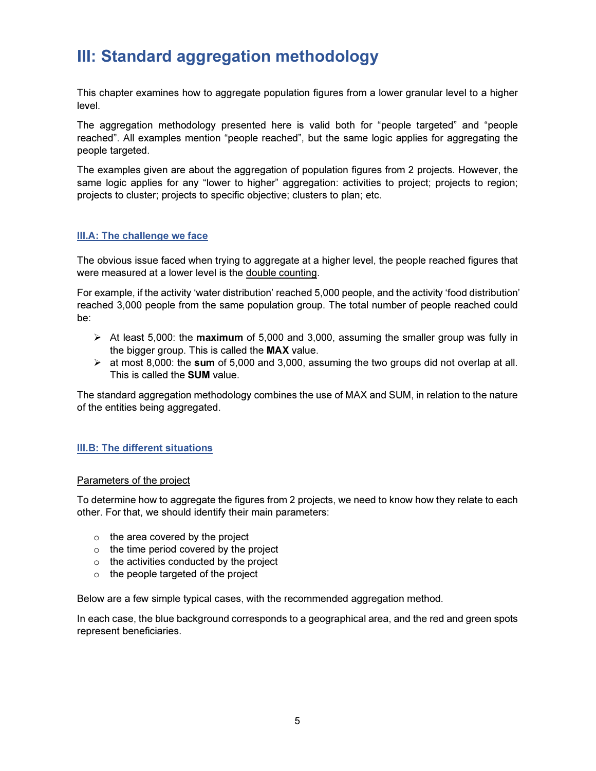# III: Standard aggregation methodology

This chapter examines how to aggregate population figures from a lower granular level to a higher level.

The aggregation methodology presented here is valid both for "people targeted" and "people reached". All examples mention "people reached", but the same logic applies for aggregating the people targeted.

The examples given are about the aggregation of population figures from 2 projects. However, the same logic applies for any "lower to higher" aggregation: activities to project; projects to region; projects to cluster; projects to specific objective; clusters to plan; etc.

# III.A: The challenge we face

The obvious issue faced when trying to aggregate at a higher level, the people reached figures that were measured at a lower level is the double counting.

For example, if the activity 'water distribution' reached 5,000 people, and the activity 'food distribution' reached 3,000 people from the same population group. The total number of people reached could be:

- $\triangleright$  At least 5,000: the maximum of 5,000 and 3,000, assuming the smaller group was fully in the bigger group. This is called the MAX value.
- $\triangleright$  at most 8,000: the sum of 5,000 and 3,000, assuming the two groups did not overlap at all. This is called the SUM value.

The standard aggregation methodology combines the use of MAX and SUM, in relation to the nature of the entities being aggregated.

# III.B: The different situations

#### Parameters of the project

To determine how to aggregate the figures from 2 projects, we need to know how they relate to each other. For that, we should identify their main parameters:

- $\circ$  the area covered by the project
- $\circ$  the time period covered by the project
- $\circ$  the activities conducted by the project
- o the people targeted of the project

Below are a few simple typical cases, with the recommended aggregation method.

In each case, the blue background corresponds to a geographical area, and the red and green spots represent beneficiaries.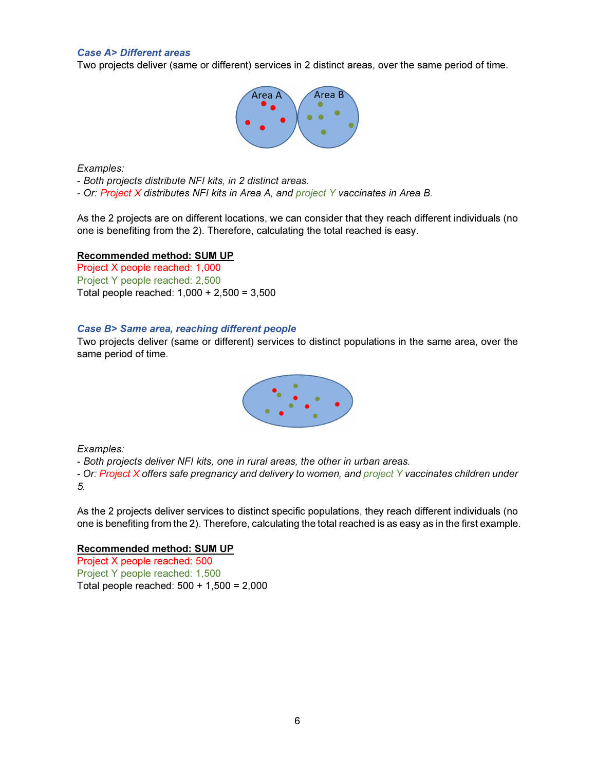## Case A> Different areas

Two projects deliver (same or different) services in 2 distinct areas, over the same period of time.



Examples:

- Both projects distribute NFI kits, in 2 distinct areas.

- Or: Project X distributes NFI kits in Area A, and project Y vaccinates in Area B.

As the 2 projects are on different locations, we can consider that they reach different individuals (no one is benefiting from the 2). Therefore, calculating the total reached is easy.

Recommended method: SUM UP

Project X people reached: 1,000 Project Y people reached: 2,500 Total people reached: 1,000 + 2,500 = 3,500

#### Case B> Same area, reaching different people

Two projects deliver (same or different) services to distinct populations in the same area, over the same period of time.



Examples:

- Both projects deliver NFI kits, one in rural areas, the other in urban areas.

- Or: Project X offers safe pregnancy and delivery to women, and project Y vaccinates children under 5.

As the 2 projects deliver services to distinct specific populations, they reach different individuals (no one is benefiting from the 2). Therefore, calculating the total reached is as easy as in the first example.

#### Recommended method: SUM UP

Project X people reached: 500 Project Y people reached: 1,500 Total people reached: 500 + 1,500 = 2,000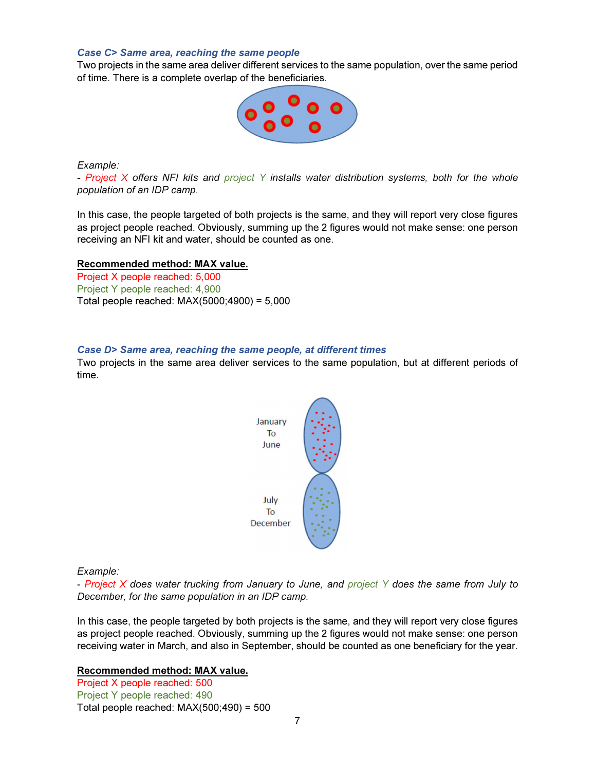#### Case C> Same area, reaching the same people

Two projects in the same area deliver different services to the same population, over the same period of time. There is a complete overlap of the beneficiaries.



Example:

- Project X offers NFI kits and project Y installs water distribution systems, both for the whole population of an IDP camp.

In this case, the people targeted of both projects is the same, and they will report very close figures as project people reached. Obviously, summing up the 2 figures would not make sense: one person receiving an NFI kit and water, should be counted as one.

#### Recommended method: MAX value.

Project X people reached: 5,000 Project Y people reached: 4,900 Total people reached: MAX(5000;4900) = 5,000

#### Case D> Same area, reaching the same people, at different times

Two projects in the same area deliver services to the same population, but at different periods of time.



Example:

- Project X does water trucking from January to June, and project Y does the same from July to December, for the same population in an IDP camp.

In this case, the people targeted by both projects is the same, and they will report very close figures as project people reached. Obviously, summing up the 2 figures would not make sense: one person receiving water in March, and also in September, should be counted as one beneficiary for the year.

#### Recommended method: MAX value.

Project X people reached: 500 Project Y people reached: 490 Total people reached:  $MAX(500; 490) = 500$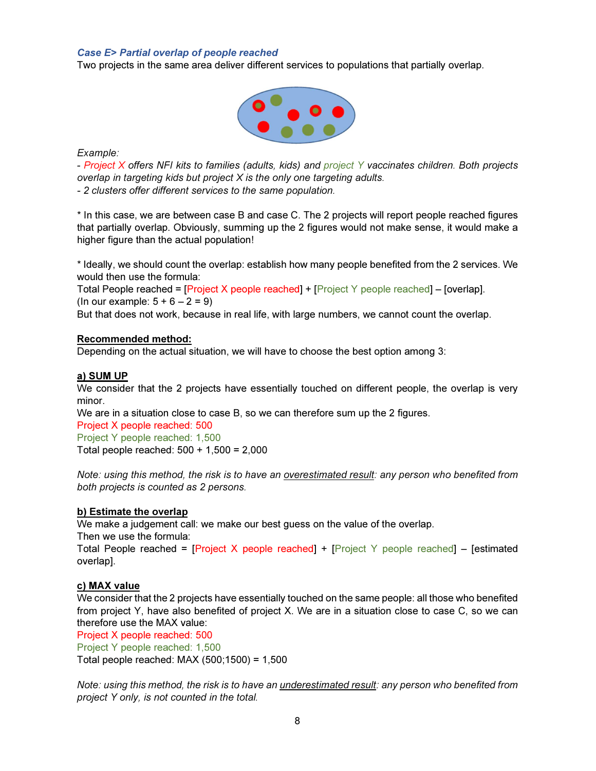## Case E> Partial overlap of people reached

Two projects in the same area deliver different services to populations that partially overlap.



Example:

- Project X offers NFI kits to families (adults, kids) and project Y vaccinates children. Both projects overlap in targeting kids but project X is the only one targeting adults.

- 2 clusters offer different services to the same population.

\* In this case, we are between case B and case C. The 2 projects will report people reached figures that partially overlap. Obviously, summing up the 2 figures would not make sense, it would make a higher figure than the actual population!

\* Ideally, we should count the overlap: establish how many people benefited from the 2 services. We would then use the formula:

Total People reached = [Project X people reached] + [Project Y people reached] – [overlap]. (In our example:  $5 + 6 - 2 = 9$ )

But that does not work, because in real life, with large numbers, we cannot count the overlap.

## Recommended method:

Depending on the actual situation, we will have to choose the best option among 3:

#### a) SUM UP

We consider that the 2 projects have essentially touched on different people, the overlap is very minor.

We are in a situation close to case B, so we can therefore sum up the 2 figures.

Project X people reached: 500 Project Y people reached: 1,500 Total people reached: 500 + 1,500 = 2,000

Note: using this method, the risk is to have an overestimated result: any person who benefited from both projects is counted as 2 persons.

# b) Estimate the overlap

We make a judgement call: we make our best guess on the value of the overlap.

Then we use the formula:

Total People reached = [Project X people reached] + [Project Y people reached] – [estimated overlap].

# c) MAX value

We consider that the 2 projects have essentially touched on the same people: all those who benefited from project Y, have also benefited of project X. We are in a situation close to case C, so we can therefore use the MAX value:

Project X people reached: 500

Project Y people reached: 1,500

Total people reached: MAX (500;1500) = 1,500

Note: using this method, the risk is to have an *underestimated result:* any person who benefited from project Y only, is not counted in the total.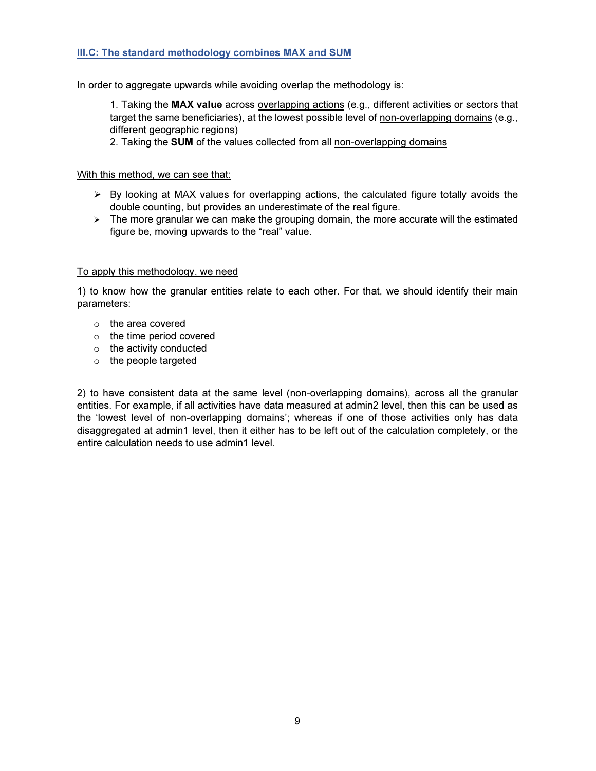# III.C: The standard methodology combines MAX and SUM

In order to aggregate upwards while avoiding overlap the methodology is:

1. Taking the MAX value across overlapping actions (e.g., different activities or sectors that target the same beneficiaries), at the lowest possible level of non-overlapping domains (e.g., different geographic regions)

2. Taking the SUM of the values collected from all non-overlapping domains

## With this method, we can see that:

- $\triangleright$  By looking at MAX values for overlapping actions, the calculated figure totally avoids the double counting, but provides an underestimate of the real figure.
- $\triangleright$  The more granular we can make the grouping domain, the more accurate will the estimated figure be, moving upwards to the "real" value.

## To apply this methodology, we need

1) to know how the granular entities relate to each other. For that, we should identify their main parameters:

- o the area covered
- o the time period covered
- $\circ$  the activity conducted
- o the people targeted

2) to have consistent data at the same level (non-overlapping domains), across all the granular entities. For example, if all activities have data measured at admin2 level, then this can be used as the 'lowest level of non-overlapping domains'; whereas if one of those activities only has data disaggregated at admin1 level, then it either has to be left out of the calculation completely, or the entire calculation needs to use admin1 level.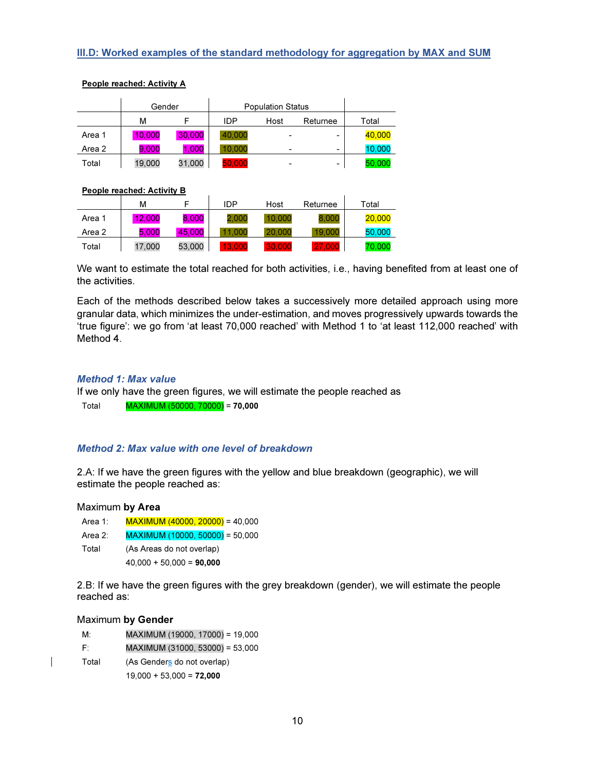# III.D: Worked examples of the standard methodology for aggregation by MAX and SUM

|        | Gender |        | <b>Population Status</b> |      |          |        |
|--------|--------|--------|--------------------------|------|----------|--------|
|        | м      |        | IDP                      | Host | Returnee | Total  |
| Area 1 | 10,000 | 30,000 | 40.000                   |      | -        | 40,000 |
| Area 2 | 9.000  | 1.000  | 10.000                   | -    | -        | 10.000 |
| Total  | 19.000 | 31.000 | 50.000                   |      | -        | 50.000 |

#### People reached: Activity A

#### People reached: Activity B

|        | м      |        | <b>IDP</b> | Host   | Returnee | Total  |
|--------|--------|--------|------------|--------|----------|--------|
| Area 1 | 12.000 | 8,000  | 2.000      | 10.000 | 8.000    | 20,000 |
| Area 2 | 5.000  | 45,000 | - റററ      | 20,000 | 19,000   | 50,000 |
| Total  | 17.000 | 53.000 | 13.000     | 30.000 | 27,000   | 70,000 |

We want to estimate the total reached for both activities, i.e., having benefited from at least one of the activities.

Each of the methods described below takes a successively more detailed approach using more granular data, which minimizes the under-estimation, and moves progressively upwards towards the 'true figure': we go from 'at least 70,000 reached' with Method 1 to 'at least 112,000 reached' with Method 4.

#### Method 1: Max value

If we only have the green figures, we will estimate the people reached as Total MAXIMUM (50000, 70000) = 70,000

#### Method 2: Max value with one level of breakdown

2.A: If we have the green figures with the yellow and blue breakdown (geographic), we will estimate the people reached as:

#### Maximum by Area

- Area 1: MAXIMUM (40000, 20000) = 40,000
- Area 2: MAXIMUM (10000, 50000) = 50,000
- Total (As Areas do not overlap)  $40,000 + 50,000 = 90,000$

2.B: If we have the green figures with the grey breakdown (gender), we will estimate the people reached as:

#### Maximum by Gender

| M     | MAXIMUM (19000, 17000) = 19,000 |
|-------|---------------------------------|
| F.    | MAXIMUM (31000, 53000) = 53,000 |
| Total | (As Genders do not overlap)     |
|       | $19,000 + 53,000 = 72,000$      |